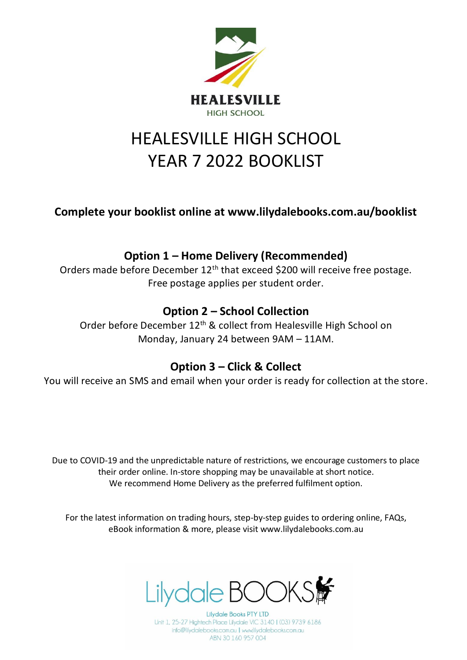

# HEALESVILLE HIGH SCHOOL YEAR 7 2022 BOOKLIST

**Complete your booklist online at www.lilydalebooks.com.au/booklist** 

## **Option 1 – Home Delivery (Recommended)**

Orders made before December 12<sup>th</sup> that exceed \$200 will receive free postage. Free postage applies per student order.

## **Option 2 – School Collection**

Order before December 12<sup>th</sup> & collect from Healesville High School on Monday, January 24 between 9AM – 11AM.

#### **Option 3 – Click & Collect**

You will receive an SMS and email when your order is ready for collection at the store.

Due to COVID-19 and the unpredictable nature of restrictions, we encourage customers to place their order online. In-store shopping may be unavailable at short notice. We recommend Home Delivery as the preferred fulfilment option.

For the latest information on trading hours, step-by-step guides to ordering online, FAQs, eBook information & more, please visit www.lilydalebooks.com.au



**Lilydale Books PTY LTD** Unit 1, 25-27 Hightech Place Lilydale VIC 3140 | (03) 9739 6186 info@lilydalebooks.com.au | www.lilydalebooks.com.au ABN 30 160 957 004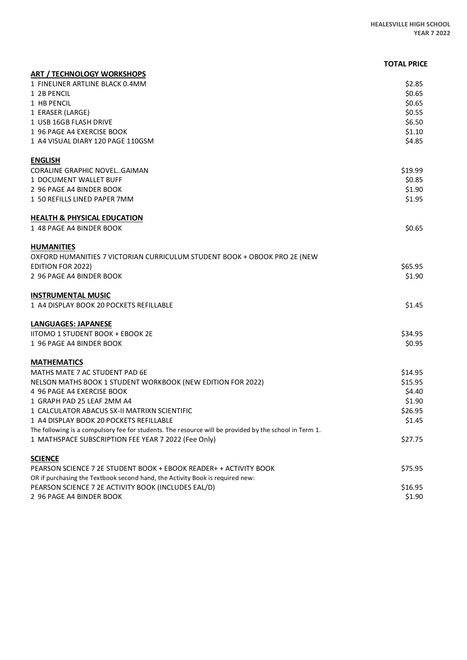|                                                                                                        | <b>TOTAL PRICE</b> |
|--------------------------------------------------------------------------------------------------------|--------------------|
| <b>ART / TECHNOLOGY WORKSHOPS</b>                                                                      |                    |
| 1 FINELINER ARTLINE BLACK 0.4MM                                                                        | \$2.85             |
| 1 2B PENCIL                                                                                            | \$0.65             |
| 1 HB PENCIL                                                                                            | \$0.65             |
| 1 ERASER (LARGE)                                                                                       | \$0.55             |
| 1 USB 16GB FLASH DRIVE                                                                                 | \$6.50             |
| 1 96 PAGE A4 EXERCISE BOOK                                                                             | \$1.10             |
| 1 A4 VISUAL DIARY 120 PAGE 110GSM                                                                      | \$4.85             |
| <b>ENGLISH</b>                                                                                         |                    |
| <b>CORALINE GRAPHIC NOVELGAIMAN</b>                                                                    | \$19.99            |
| 1 DOCUMENT WALLET BUFF                                                                                 | \$0.85             |
| 2 96 PAGE A4 BINDER BOOK                                                                               | \$1.90             |
| 1 50 REFILLS LINED PAPER 7MM                                                                           | \$1.95             |
| <b>HEALTH &amp; PHYSICAL EDUCATION</b>                                                                 |                    |
| 1 48 PAGE A4 BINDER BOOK                                                                               | \$0.65             |
| <b>HUMANITIES</b>                                                                                      |                    |
| OXFORD HUMANITIES 7 VICTORIAN CURRICULUM STUDENT BOOK + OBOOK PRO 2E (NEW                              |                    |
| <b>EDITION FOR 2022)</b>                                                                               | \$65.95            |
| 2 96 PAGE A4 BINDER BOOK                                                                               | \$1.90             |
| <b>INSTRUMENTAL MUSIC</b>                                                                              |                    |
| 1 A4 DISPLAY BOOK 20 POCKETS REFILLABLE                                                                | \$1.45             |
| <b>LANGUAGES: JAPANESE</b>                                                                             |                    |
| <b>IITOMO 1 STUDENT BOOK + EBOOK 2E</b>                                                                | \$34.95            |
| 1 96 PAGE A4 BINDER BOOK                                                                               | \$0.95             |
| <b>MATHEMATICS</b>                                                                                     |                    |
| MATHS MATE 7 AC STUDENT PAD 6E                                                                         | \$14.95            |
| NELSON MATHS BOOK 1 STUDENT WORKBOOK (NEW EDITION FOR 2022)                                            | \$15.95            |
| 4 96 PAGE A4 EXERCISE BOOK                                                                             | \$4.40             |
| 1 GRAPH PAD 25 LEAF 2MM A4                                                                             | \$1.90             |
| 1 CALCULATOR ABACUS SX-II MATRIXN SCIENTIFIC                                                           | \$26.95            |
| 1 A4 DISPLAY BOOK 20 POCKETS REFILLABLE                                                                | \$1.45             |
| The following is a compulsory fee for students. The resource will be provided by the school in Term 1. |                    |
| 1 MATHSPACE SUBSCRIPTION FEE YEAR 7 2022 (Fee Only)                                                    | \$27.75            |
| <b>SCIENCE</b>                                                                                         |                    |
| PEARSON SCIENCE 7 2E STUDENT BOOK + EBOOK READER+ + ACTIVITY BOOK                                      | \$75.95            |
| OR if purchasing the Textbook second hand, the Activity Book is required new:                          |                    |
| PEARSON SCIENCE 7 2E ACTIVITY BOOK (INCLUDES EAL/D)                                                    | \$16.95            |
| 2 96 PAGE A4 BINDER BOOK                                                                               | \$1.90             |